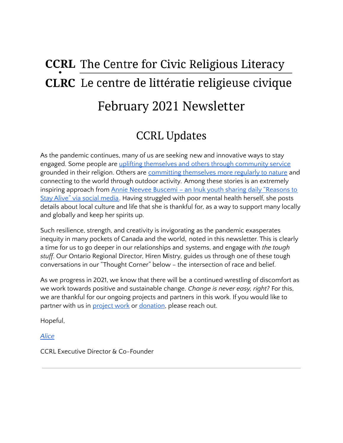# **CCRL** The Centre for Civic Religious Literacy **CLRC** Le centre de littératie religieuse civique February 2021 Newsletter

# CCRL Updates

As the pandemic continues, many of us are seeking new and innovative ways to stay engaged. Some people are uplifting themselves and others through [community](https://www.catholicregister.org/item/32687-sisters-service-still-looms-large-at-99) service grounded in their religion. Others are committing [themselves](https://thestarphoenix.com/news/local-news/900-miles-before-90-saskatoon-senior-sets-ambitious-walking-goal) more regularly to nature and connecting to the world through outdoor activity. Among these stories is an extremely inspiring approach from Annie Neevee Buscemi – an Inuk youth sharing daily ["Reasons](https://nativenewsonline.net/health/meet-the-inuk-woman-giving-youth-daily-reasons-to-stay-alive-through-social-media) to Stay Alive" via social [media.](https://nativenewsonline.net/health/meet-the-inuk-woman-giving-youth-daily-reasons-to-stay-alive-through-social-media) Having struggled with poor mental health herself, she posts details about local culture and life that she is thankful for, as a way to support many locally and globally and keep her spirits up.

Such resilience, strength, and creativity is invigorating as the pandemic exasperates inequity in many pockets of Canada and the world, noted in this newsletter. This is clearly a time for us to go deeper in our relationships and systems, and engage with *the tough stuff*. Our Ontario Regional Director, Hiren Mistry, guides us through one of these tough conversations in our "Thought Corner" below – the intersection of race and belief.

As we progress in 2021, we know that there will be a continued wrestling of discomfort as we work towards positive and sustainable change. *Change is never easy, right?* For this, we are thankful for our ongoing projects and partners in this work. If you would like to partner with us in [project](https://ccrl-clrc.ca/work/projects/) work or [donation](https://ccrl-clrc.ca/support-us/), please reach out.

Hopeful,

*[Alice](https://ccrl-clrc.ca/alice-chan/)*

CCRL Executive Director & Co-Founder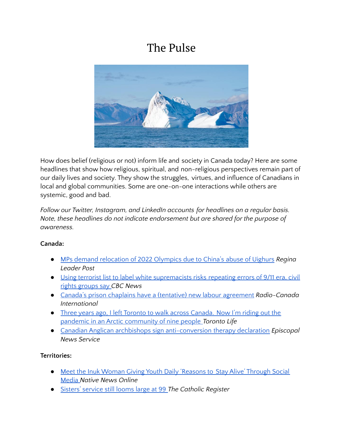# The Pulse



How does belief (religious or not) inform life and society in Canada today? Here are some headlines that show how religious, spiritual, and non-religious perspectives remain part of our daily lives and society. They show the struggles, virtues, and influence of Canadians in local and global communities. Some are one-on-one interactions while others are systemic, good and bad.

*Follow our Twitter, Instagram, and LinkedIn accounts for headlines on a regular basis. Note, these headlines do not indicate endorsement but are shared for the purpose of awareness.*

#### **Canada:**

- MPs demand [relocation](https://leaderpost.com/news/national/mps-demand-relocation-of-2022-olympics-due-to-chinas-abuse-of-uighurs/wcm/78ca546c-7b2a-4049-9202-555365ebc2b0) of 2022 Olympics due to China's abuse of Uighurs *Regina Leader Post*
- Using terrorist list to label white [supremacists](https://www.cbc.ca/news/canada/terrorist-list-problem-advocates-1.5903435) risks repeating errors of 9/11 era, civil rights [groups](https://www.cbc.ca/news/canada/terrorist-list-problem-advocates-1.5903435) say *CBC News*
- Canada's prison chaplains have a (tentative) new labour [agreement](https://www.rcinet.ca/en/2021/02/08/canadas-prison-chaplains-have-a-tentative-new-labour-agreement/) *Radio-Canada International*
- Three years ago, I left Toronto to walk across [Canada.](https://torontolife.com/memoir/three-years-ago-i-left-toronto-to-walk-across-canada-now-im-riding-out-the-pandemic-in-an-arctic-community-of-nine-people/) Now I'm riding out the pandemic in an Arctic [community](https://torontolife.com/memoir/three-years-ago-i-left-toronto-to-walk-across-canada-now-im-riding-out-the-pandemic-in-an-arctic-community-of-nine-people/) of nine people *Toronto Life*
- Canadian Anglican archbishops sign [anti-conversion](https://www.episcopalnewsservice.org/2021/02/05/canadian-anglican-archbishops-sign-anti-conversion-therapy-declaration/) therapy declaration *Episcopal News Service*

#### **Territories:**

- Meet the Inuk Woman Giving Youth Daily ['Reasons](https://nativenewsonline.net/health/meet-the-inuk-woman-giving-youth-daily-reasons-to-stay-alive-through-social-media) to Stay Alive' Through Social [Media](https://nativenewsonline.net/health/meet-the-inuk-woman-giving-youth-daily-reasons-to-stay-alive-through-social-media) *Native News Online*
- Sisters' [service](https://www.catholicregister.org/item/32687-sisters-service-still-looms-large-at-99) still looms large at 99 *The Catholic Register*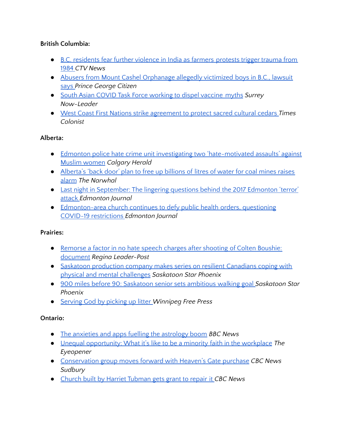### **British Columbia:**

- B.C. [residents](https://globalnews.ca/news/7633635/india-protests-fears-1984-sikh-massacre/) fear further violence in India as farmers protests trigger trauma from [1984](https://globalnews.ca/news/7633635/india-protests-fears-1984-sikh-massacre/) *CTV News*
- Abusers from Mount Cashel [Orphanage](https://www.princegeorgecitizen.com/abusers-from-mount-cashel-orphanage-allegedly-victimized-boys-in-b-c-lawsuit-says-1.24279128) allegedly victimized boys in B.C., lawsuit [says](https://www.princegeorgecitizen.com/abusers-from-mount-cashel-orphanage-allegedly-victimized-boys-in-b-c-lawsuit-says-1.24279128) *Prince George Citizen*
- South Asian COVID Task Force [working](https://www.surreynowleader.com/news/south-asian-covid-task-force-working-to-dispel-vaccine-myths/) to dispel vaccine myths *Surrey Now-Leader*
- West Coast First Nations strike [agreement](https://www.timescolonist.com/islander/west-coast-first-nations-strike-agreement-to-protect-sacred-cultural-cedars-1.24278635) to protect sacred cultural cedars *Times Colonist*

### **Alberta:**

- Edmonton police hate crime unit investigating two ['hate-motivated](https://calgaryherald.com/news/crime/edmonton-police-hate-crime-unit-investigating-two-hate-motivated-assaults-against-muslim-women/wcm/481e2fd9-c459-4e42-a623-6cff8e8aa66f) assaults' against Muslim [women](https://calgaryherald.com/news/crime/edmonton-police-hate-crime-unit-investigating-two-hate-motivated-assaults-against-muslim-women/wcm/481e2fd9-c459-4e42-a623-6cff8e8aa66f) *Calgary Herald*
- [Alberta's](https://thenarwhal.ca/alberta-coal-mining-rockies-oldman-river/) 'back door' plan to free up billions of litres of water for coal mines raises [alarm](https://thenarwhal.ca/alberta-coal-mining-rockies-oldman-river/) *The Narwhal*
- Last night in [September:](https://edmontonjournal.com/news/insight/last-night-in-september-the-lingering-questions-behind-the-2017-edmonton-terror-attack) The lingering questions behind the 2017 Edmonton 'terror' [attack](https://edmontonjournal.com/news/insight/last-night-in-september-the-lingering-questions-behind-the-2017-edmonton-terror-attack) *Edmonton Journal*
- [Edmonton-area](https://edmontonjournal.com/news/local-news/gracelife-church-edmontons-refusal-to-abide-by-covid19-restrictions) church continues to defy public health orders, questioning COVID-19 [restrictions](https://edmontonjournal.com/news/local-news/gracelife-church-edmontons-refusal-to-abide-by-covid19-restrictions) *Edmonton Journal*

#### **Prairies:**

- [Remorse](https://leaderpost.com/news/saskatchewan/remorse-a-factor-in-no-hate-speech-charges-after-shooting-of-colten-boushie-document) a factor in no hate speech charges after shooting of Colten Boushie: [document](https://leaderpost.com/news/saskatchewan/remorse-a-factor-in-no-hate-speech-charges-after-shooting-of-colten-boushie-document) *Regina Leader-Post*
- Saskatoon [production](https://thestarphoenix.com/entertainment/local-arts/saskatoon-production-company-makes-series-on-resilient-canadians-coping-with-physical-and-mental-challenges) company makes series on resilient Canadians coping with physical and mental [challenges](https://thestarphoenix.com/entertainment/local-arts/saskatoon-production-company-makes-series-on-resilient-canadians-coping-with-physical-and-mental-challenges) *Saskatoon Star Phoenix*
- 900 miles before 90: [Saskatoon](https://thestarphoenix.com/news/local-news/900-miles-before-90-saskatoon-senior-sets-ambitious-walking-goal) senior sets ambitious walking goal *Saskatoon Star Phoenix*
- [Serving](https://www.winnipegfreepress.com/arts-and-life/life/faith/serving-god-by-picking-up-litter-573741912.html) God by picking up litter *Winnipeg Free Press*

# **Ontario:**

- The anxieties and apps fuelling the [astrology](https://www.bbc.com/worklife/article/20210205-why-astrology-is-so-popular-now) boom *BBC News*
- Unequal [opportunity:](https://theeyeopener.com/2021/02/unequal-opportunity-what-its-like-to-be-of-minority-faith-in-the-workplace/) What it's like to be a minority faith in the workplace *The Eyeopener*
- [Conservation](https://www.cbc.ca/news/canada/sudbury/sudbury-heaven-s-gate-property-1.5903385) group moves forward with Heaven's Gate purchase *CBC News Sudbury*
- Church built by Harriet [Tubman](https://www.cbc.ca/player/play/1853628995747) gets grant to repair it *CBC News*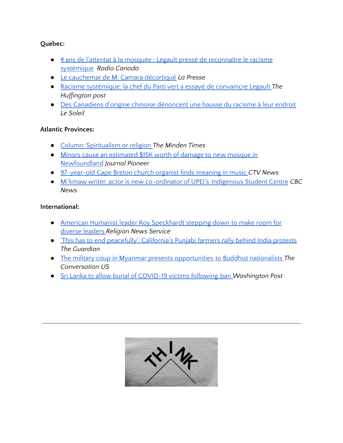#### **Quebec:**

- 4 ans de l'attentat à la mosquée : Legault pressé de [reconnaître](https://ici.radio-canada.ca/nouvelle/1766960/commemoration-attentat-grande-mosquee-quebec-reconnaissance-racisme-systemique-legault) le racisme [systémique](https://ici.radio-canada.ca/nouvelle/1766960/commemoration-attentat-grande-mosquee-quebec-reconnaissance-racisme-systemique-legault) *Radio Canada*
- Le [cauchemar](https://www.lapresse.ca/actualites/justice-et-faits-divers/2021-02-04/le-cauchemar-de-m-camara-decortique.php) de M. Camara décortiqué *La Presse*
- Racisme [systémique:](https://quebec.huffingtonpost.ca/entry/racisme-systemique-chef-parti-vert-essaye-convaincre-legault_qc_601eec8bc5b6c56a89a17f70) la chef du Parti vert a essayé de convaincre Legault *The Huffington post*
- Des Canadiens d'origine chinoise [dénoncent](https://www.lesoleil.com/actualite/des-canadiens-dorigine-chinoise-denoncent-une-hausse-du-racisme-a-leur-endroit-3b68f28ac1caf423ae70a6c99b409e33) une hausse du racisme à leur endroit *Le Soleil*

# **Atlantic Provinces:**

- Column: [Spiritualism](https://mindentimes.ca/opinion/spiritualism-or-religion/) or religion *The Minden Times*
- Minors cause an [estimated](https://www.journalpioneer.com/news/canada/minors-cause-painful-damage-to-new-mosque-in-newfoundland-548130/) \$15K worth of damage to new mosque in [Newfoundland](https://www.journalpioneer.com/news/canada/minors-cause-painful-damage-to-new-mosque-in-newfoundland-548130/) *Journal Pioneer*
- [97-year-old](https://atlantic.ctvnews.ca/97-year-old-cape-breton-church-organist-finds-meaning-in-music-1.5293537) Cape Breton church organist finds meaning in music *CTV News*
- Mi'kmaw writer, actor is new [co-ordinator](https://www.cbc.ca/news/canada/prince-edward-island/julie-pellissier-lush-upei-indigenous-student-centre-1.5904226) of UPEI's Indigenous Student Centre *CBC News*

### **International:**

- American Humanist leader Roy [Speckhardt](https://religionnews.com/2021/02/05/american-humanist-leader-roy-speckhardt-stepping-down-to-make-room-for-more-diverse-leaders/) stepping down to make room for [diverse](https://religionnews.com/2021/02/05/american-humanist-leader-roy-speckhardt-stepping-down-to-make-room-for-more-diverse-leaders/) leaders *Religion News Service*
- 'This has to end [peacefully':](https://www.theguardian.com/us-news/2021/feb/08/california-indian-farmers-protest-sikh-punjab-yuba-city?CMP=Share_AndroidApp_Other) California's Punjabi farmers rally behind India protests *The Guardian*
- The military coup in Myanmar presents [opportunities](https://theconversation.com/the-military-coup-in-myanmar-presents-opportunities-to-buddhist-nationalists-154459) to Buddhist nationalists *The Conversation US*
- Sri Lanka to allow burial of [COVID-19](https://www.washingtonpost.com/world/asia_pacific/sri-lanka-to-allow-burial-of-covid-19-victims-following-ban/2021/02/10/75cbe4b0-6b8f-11eb-a66e-e27046e9e898_story.html) victims following ban *Washington Post*

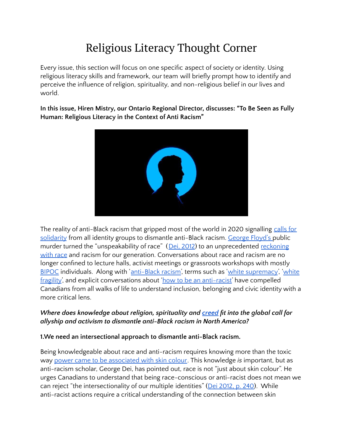# Religious Literacy Thought Corner

Every issue, this section will focus on one specific aspect of society or identity. Using religious literacy skills and framework, our team will briefly prompt how to identify and perceive the influence of religion, spirituality, and non-religious belief in our lives and world.

**In this issue, Hiren Mistry, our Ontario Regional Director, discusses: "To Be Seen as Fully Human: Religious Literacy in the Context of Anti Racism"**



The reality of anti-Black racism that gripped most of the world in 2020 signalling [calls](https://www.cbc.ca/news/canada/british-columbia/allyship-anti-black-sentiment-racism-1.5613218) for [solidarity](https://www.cbc.ca/news/canada/british-columbia/allyship-anti-black-sentiment-racism-1.5613218) from all identity groups to dismantle anti-Black racism. [George](https://www.newyorker.com/news/daily-comment/the-death-of-george-floyd-in-context) Floyd's public murder turned the "unspeakability of race" (Dei, [2012](https://ojs.library.queensu.ca/index.php/encounters/article/view/5153/5282)) to an unprecedented [reckoning](https://www.nybooks.com/daily/2020/10/31/our-reckoning-with-race/) [with](https://www.nybooks.com/daily/2020/10/31/our-reckoning-with-race/) race and racism for our generation. Conversations about race and racism are no longer confined to lecture halls, activist meetings or grassroots workshops with mostly [BIPOC](https://www.thebipocproject.org/) individuals. Along with '[anti-Black](https://www.bcg.com/en-ca/publications/2020/reality-of-anti-black-racism-in-canada) racism', terms such as 'white [supremacy](https://www.ips-journal.eu/topics/security-and-defence/canada-has-a-white-supremacist-problem-4757/)', '[white](https://www.cbc.ca/news/canada/manitoba/pov-racism-white-fragility-1.5619647) [fragility](https://www.cbc.ca/news/canada/manitoba/pov-racism-white-fragility-1.5619647)', and explicit conversations about 'how to be an [anti-racist'](https://www.penguinrandomhouse.com/books/564299/how-to-be-an-antiracist-by-ibram-x-kendi/) have compelled Canadians from all walks of life to understand inclusion, belonging and civic identity with a more critical lens.

### *Where does knowledge about religion, spirituality and [creed](http://www.ohrc.on.ca/en/code_grounds/creed?%20Alice%20Chan%20Alice%20Chan%202:02%20PM%20Today%20Add:%20%E2%80%9CWe%20need%20an%20intersectional%20approach%20to%20dismantle%20anti-Black%20racism.%E2%80%9D%20Alice%20Chan%20Alice%20Chan%202:09%20PM%20Today%20The%20piece%20is%20really%20well%20articulated%20and%20thought%20provoking%20but%20it%20is%20written%20at%20a%20more%20academic%20level%20than%20most%20online%20readers.%20I%20suspect%20most%20of%20our%20readers%20have%20an%20academic%20background%20right%20now%20but%20I%20don) fit into the global call for allyship and activism to dismantle anti-Black racism in North America?*

#### **1.We need an intersectional approach to dismantle anti-Black racism.**

Being knowledgeable about race and anti-racism requires knowing more than the toxic way power came to be [associated](https://worldchannel.org/episode/howpia-america-made-skin-color-power/) with skin colour. This knowledge *is* important, but as anti-racism scholar, George Dei, has pointed out, race is not "just about skin colour". He urges Canadians to understand that being race-conscious or anti-racist does not mean we can reject "the intersectionality of our multiple identities" (Dei [2012,](https://ojs.library.queensu.ca/index.php/encounters/article/view/5153) p. 240). While anti-racist actions require a critical understanding of the connection between skin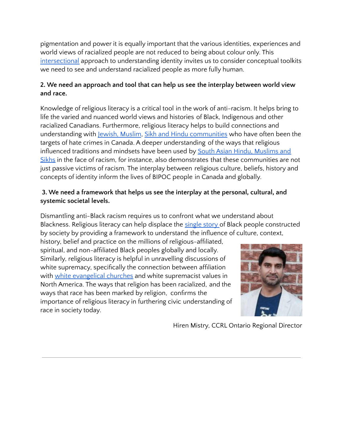pigmentation and power it is equally important that the various identities, experiences and world views of racialized people are not reduced to being about colour only. This [intersectional](https://theconversation.com/what-is-intersectionality-all-of-who-i-am-105639) approach to understanding identity invites us to consider conceptual toolkits we need to see and understand racialized people as more fully human.

# **2. We need an approach and tool that can help us see the interplay between world view and race.**

Knowledge of religious literacy is a critical tool in the work of anti-racism. It helps bring to life the varied and nuanced world views and histories of Black, Indigenous and other racialized Canadians. Furthermore, religious literacy helps to build connections and understanding with Jewish, [Muslim](https://globalnews.ca/news/4714114/canada-jews-muslims-hate-crime/), Sikh and Hindu [communities](https://www150.statcan.gc.ca/n1/en/pub/85-002-x/2020001/article/00003-eng.pdf?st=yT9Z5MEi) who have often been the targets of hate crimes in Canada. A deeper understanding of the ways that religious influenced traditions and mindsets have been used by South Asian Hindu, [Muslims](https://core.ac.uk/download/pdf/33413521.pdf) and [Sikhs](https://core.ac.uk/download/pdf/33413521.pdf) in the face of racism, for instance, also demonstrates that these communities are not just passive victims of racism. The interplay between religious culture, beliefs, history and concepts of identity inform the lives of BIPOC people in Canada and globally.

# **3. We need a framework that helps us see the interplay at the personal, cultural, and systemic societal levels.**

Dismantling anti-Black racism requires us to confront what we understand about Blackness. Religious literacy can help displace the [single](https://www.ted.com/talks/chimamanda_ngozi_adichie_the_danger_of_a_single_story/transcript?language=en) story of Black people constructed by society by providing a framework to understand the influence of culture, context,

history, belief and practice on the millions of religious-affiliated, spiritual, and non-affiliated Black peoples globally and locally. Similarly, religious literacy is helpful in unravelling discussions of white supremacy, specifically the connection between affiliation with white [evangelical](https://www.newyorker.com/books/under-review/american-christianitys-white-supremacy-problem) churches and white supremacist values in North America. The ways that religion has been racialized, and the ways that race has been marked by religion, confirms the importance of religious literacy in furthering civic understanding of race in society today.



Hiren Mistry, CCRL Ontario Regional Director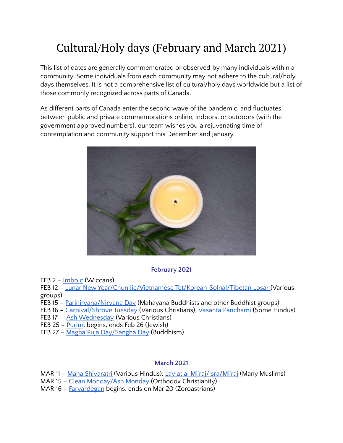# Cultural/Holy days (February and March 2021)

This list of dates are generally commemorated or observed by many individuals within a community. Some individuals from each community may not adhere to the cultural/holy days themselves. It is not a comprehensive list of cultural/holy days worldwide but a list of those commonly recognized across parts of Canada.

As different parts of Canada enter the second wave of the pandemic, and fluctuates between public and private commemorations online, indoors, or outdoors (with the government approved numbers), our team wishes you a rejuvenating time of contemplation and community support this December and January.



#### **February 2021**

FEB 2 – [Imbolc](https://www.thoughtco.com/guide-to-celebrating-imbolc-2562102) (Wiccans)

FEB 12 – Lunar New Year/Chun [Jie/Vietnamese](https://www.britannica.com/topic/Lunar-New-Year) Tet/Korean Solnal/Tibetan Losar (Various groups)

- FEB 15 [Parinirvana/Nirvana](http://www.bbc.co.uk/religion/religions/buddhism/holydays/parinirvana.shtml) Day (Mahayana Buddhists and other Buddhist groups)
- FEB 16 [Carnival/Shrove](http://www.holidayscalendar.com/event/pancake-day-shrove-tuesday/) Tuesday (Various Christians); Vasanta [Panchami](https://timesofindia.indiatimes.com/life-style/food-news/how-basant-panchami-is-celebrated-and-the-significance-of-food-in-the-festival/photostory/67913945.cms) (Some Hindus)
- FEB 17 Ash [Wednesday](https://www.beliefnet.com/faiths/christianity/2001/02/ash-wednesday-primer.aspx) (Various Christians)
- FEB 25 [Purim](https://www.myjewishlearning.com/article/purim-2019/), begins, ends Feb 26 (Jewish)
- FEB 27 Magha Puja [Day/Sangha](https://www.timeanddate.com/holidays/buddhist/magha-puja) Day (Buddhism)

#### **March 2021**

MAR 11 – Maha [Shivaratri](https://www.beliefnet.com/faiths/hinduism/what-is-maha-shivaratri.aspx) (Various Hindus); Laylat al [Mi'raj/Isra/Mi'raj](https://www.timeanddate.com/holidays/canada/isra-miraj) (Many Muslims)

- MAR 15 Clean [Monday/Ash](https://www.thoughtco.com/what-is-clean-monday-542420) Monday (Orthodox Christianity)
- MAR 16 [Farvardegan](https://www.scdsb.on.ca/about/equity_and_inclusion/holy_days_and_holidays_calendar/zoroastrianism) begins, ends on Mar 20 (Zoroastrians)